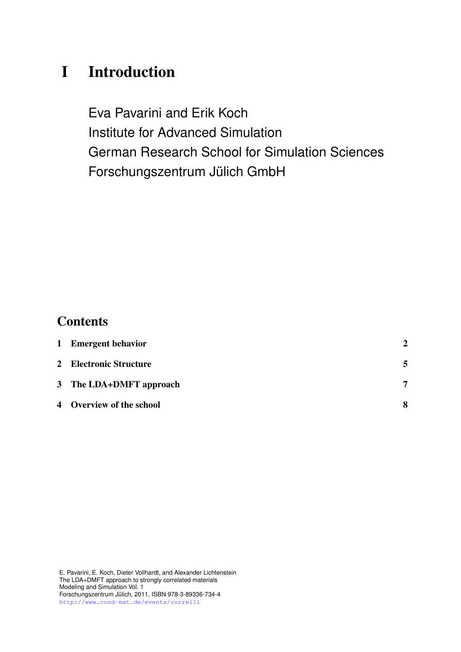# I Introduction

Eva Pavarini and Erik Koch Institute for Advanced Simulation German Research School for Simulation Sciences Forschungszentrum Jülich GmbH

# **Contents**

| 1 Emergent behavior      | $\mathcal{P}$ |
|--------------------------|---------------|
| 2 Electronic Structure   |               |
| 3 The LDA+DMFT approach  | 7             |
| 4 Overview of the school | 8             |

E. Pavarini, E. Koch, Dieter Vollhardt, and Alexander Lichtenstein The LDA+DMFT approach to strongly correlated materials Modeling and Simulation Vol. 1 Forschungszentrum Julich, 2011, ISBN 978-3-89336-734-4 ¨ <http://www.cond-mat.de/events/correl11>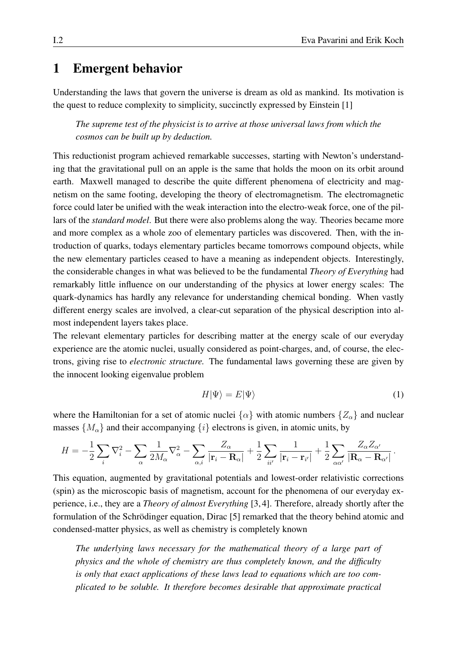### <span id="page-1-0"></span>1 Emergent behavior

Understanding the laws that govern the universe is dream as old as mankind. Its motivation is the quest to reduce complexity to simplicity, succinctly expressed by Einstein [\[1\]](#page-9-0)

*The supreme test of the physicist is to arrive at those universal laws from which the cosmos can be built up by deduction.*

This reductionist program achieved remarkable successes, starting with Newton's understanding that the gravitational pull on an apple is the same that holds the moon on its orbit around earth. Maxwell managed to describe the quite different phenomena of electricity and magnetism on the same footing, developing the theory of electromagnetism. The electromagnetic force could later be unified with the weak interaction into the electro-weak force, one of the pillars of the *standard model*. But there were also problems along the way. Theories became more and more complex as a whole zoo of elementary particles was discovered. Then, with the introduction of quarks, todays elementary particles became tomorrows compound objects, while the new elementary particles ceased to have a meaning as independent objects. Interestingly, the considerable changes in what was believed to be the fundamental *Theory of Everything* had remarkably little influence on our understanding of the physics at lower energy scales: The quark-dynamics has hardly any relevance for understanding chemical bonding. When vastly different energy scales are involved, a clear-cut separation of the physical description into almost independent layers takes place.

The relevant elementary particles for describing matter at the energy scale of our everyday experience are the atomic nuclei, usually considered as point-charges, and, of course, the electrons, giving rise to *electronic structure.* The fundamental laws governing these are given by the innocent looking eigenvalue problem

<span id="page-1-1"></span>
$$
H|\Psi\rangle = E|\Psi\rangle \tag{1}
$$

where the Hamiltonian for a set of atomic nuclei  $\{\alpha\}$  with atomic numbers  $\{Z_{\alpha}\}\$  and nuclear masses  $\{M_{\alpha}\}\$ and their accompanying  $\{i\}$  electrons is given, in atomic units, by

$$
H = -\frac{1}{2} \sum_{i} \nabla_i^2 - \sum_{\alpha} \frac{1}{2M_{\alpha}} \nabla_{\alpha}^2 - \sum_{\alpha, i} \frac{Z_{\alpha}}{|\mathbf{r}_i - \mathbf{R}_{\alpha}|} + \frac{1}{2} \sum_{ii'} \frac{1}{|\mathbf{r}_i - \mathbf{r}_{i'}|} + \frac{1}{2} \sum_{\alpha \alpha'} \frac{Z_{\alpha} Z_{\alpha'}}{|\mathbf{R}_{\alpha} - \mathbf{R}_{\alpha'}|}.
$$

This equation, augmented by gravitational potentials and lowest-order relativistic corrections (spin) as the microscopic basis of magnetism, account for the phenomena of our everyday experience, i.e., they are a *Theory of almost Everything* [\[3,](#page-9-1) [4\]](#page-9-2). Therefore, already shortly after the formulation of the Schrödinger equation, Dirac [\[5\]](#page-9-3) remarked that the theory behind atomic and condensed-matter physics, as well as chemistry is completely known

*The underlying laws necessary for the mathematical theory of a large part of physics and the whole of chemistry are thus completely known, and the difficulty is only that exact applications of these laws lead to equations which are too complicated to be soluble. It therefore becomes desirable that approximate practical*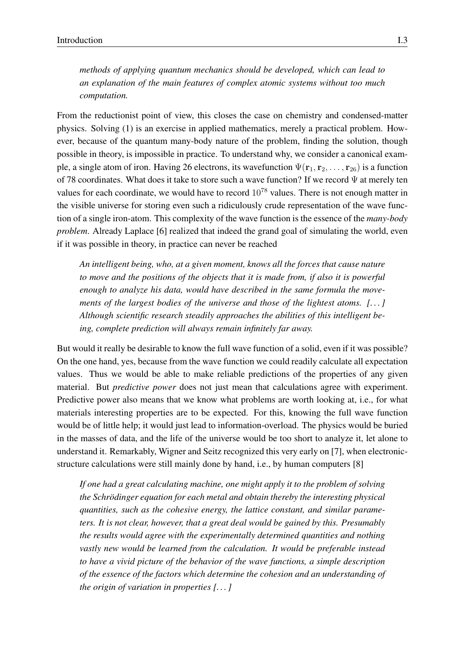*methods of applying quantum mechanics should be developed, which can lead to an explanation of the main features of complex atomic systems without too much computation.*

From the reductionist point of view, this closes the case on chemistry and condensed-matter physics. Solving [\(1\)](#page-1-1) is an exercise in applied mathematics, merely a practical problem. However, because of the quantum many-body nature of the problem, finding the solution, though possible in theory, is impossible in practice. To understand why, we consider a canonical example, a single atom of iron. Having 26 electrons, its wavefunction  $\Psi(\mathbf{r}_1, \mathbf{r}_2, \dots, \mathbf{r}_{26})$  is a function of 78 coordinates. What does it take to store such a wave function? If we record  $\Psi$  at merely ten values for each coordinate, we would have to record  $10^{78}$  values. There is not enough matter in the visible universe for storing even such a ridiculously crude representation of the wave function of a single iron-atom. This complexity of the wave function is the essence of the *many-body problem*. Already Laplace [\[6\]](#page-9-4) realized that indeed the grand goal of simulating the world, even if it was possible in theory, in practice can never be reached

*An intelligent being, who, at a given moment, knows all the forces that cause nature to move and the positions of the objects that it is made from, if also it is powerful enough to analyze his data, would have described in the same formula the movements of the largest bodies of the universe and those of the lightest atoms. [. . . ] Although scientific research steadily approaches the abilities of this intelligent being, complete prediction will always remain infinitely far away.*

But would it really be desirable to know the full wave function of a solid, even if it was possible? On the one hand, yes, because from the wave function we could readily calculate all expectation values. Thus we would be able to make reliable predictions of the properties of any given material. But *predictive power* does not just mean that calculations agree with experiment. Predictive power also means that we know what problems are worth looking at, i.e., for what materials interesting properties are to be expected. For this, knowing the full wave function would be of little help; it would just lead to information-overload. The physics would be buried in the masses of data, and the life of the universe would be too short to analyze it, let alone to understand it. Remarkably, Wigner and Seitz recognized this very early on [\[7\]](#page-9-5), when electronicstructure calculations were still mainly done by hand, i.e., by human computers [\[8\]](#page-9-6)

*If one had a great calculating machine, one might apply it to the problem of solving the Schrödinger equation for each metal and obtain thereby the interesting physical quantities, such as the cohesive energy, the lattice constant, and similar parameters. It is not clear, however, that a great deal would be gained by this. Presumably the results would agree with the experimentally determined quantities and nothing vastly new would be learned from the calculation. It would be preferable instead to have a vivid picture of the behavior of the wave functions, a simple description of the essence of the factors which determine the cohesion and an understanding of the origin of variation in properties [. . . ]*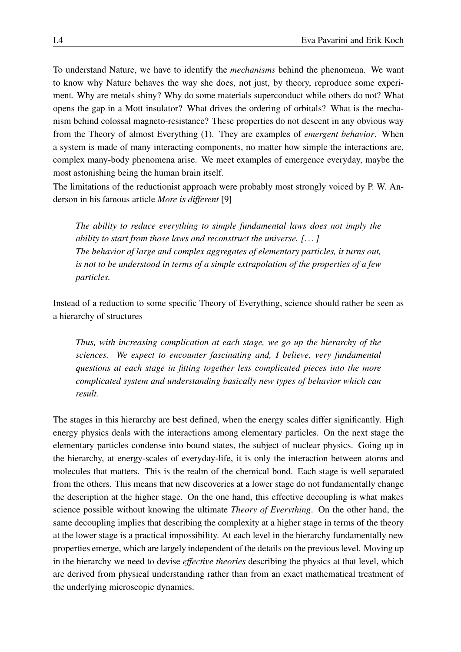To understand Nature, we have to identify the *mechanisms* behind the phenomena. We want to know why Nature behaves the way she does, not just, by theory, reproduce some experiment. Why are metals shiny? Why do some materials superconduct while others do not? What opens the gap in a Mott insulator? What drives the ordering of orbitals? What is the mechanism behind colossal magneto-resistance? These properties do not descent in any obvious way from the Theory of almost Everything [\(1\)](#page-1-1). They are examples of *emergent behavior*. When a system is made of many interacting components, no matter how simple the interactions are, complex many-body phenomena arise. We meet examples of emergence everyday, maybe the most astonishing being the human brain itself.

The limitations of the reductionist approach were probably most strongly voiced by P. W. Anderson in his famous article *More is different* [\[9\]](#page-9-7)

*The ability to reduce everything to simple fundamental laws does not imply the ability to start from those laws and reconstruct the universe. [. . . ] The behavior of large and complex aggregates of elementary particles, it turns out, is not to be understood in terms of a simple extrapolation of the properties of a few particles.*

Instead of a reduction to some specific Theory of Everything, science should rather be seen as a hierarchy of structures

*Thus, with increasing complication at each stage, we go up the hierarchy of the sciences. We expect to encounter fascinating and, I believe, very fundamental questions at each stage in fitting together less complicated pieces into the more complicated system and understanding basically new types of behavior which can result.*

The stages in this hierarchy are best defined, when the energy scales differ significantly. High energy physics deals with the interactions among elementary particles. On the next stage the elementary particles condense into bound states, the subject of nuclear physics. Going up in the hierarchy, at energy-scales of everyday-life, it is only the interaction between atoms and molecules that matters. This is the realm of the chemical bond. Each stage is well separated from the others. This means that new discoveries at a lower stage do not fundamentally change the description at the higher stage. On the one hand, this effective decoupling is what makes science possible without knowing the ultimate *Theory of Everything*. On the other hand, the same decoupling implies that describing the complexity at a higher stage in terms of the theory at the lower stage is a practical impossibility. At each level in the hierarchy fundamentally new properties emerge, which are largely independent of the details on the previous level. Moving up in the hierarchy we need to devise *effective theories* describing the physics at that level, which are derived from physical understanding rather than from an exact mathematical treatment of the underlying microscopic dynamics.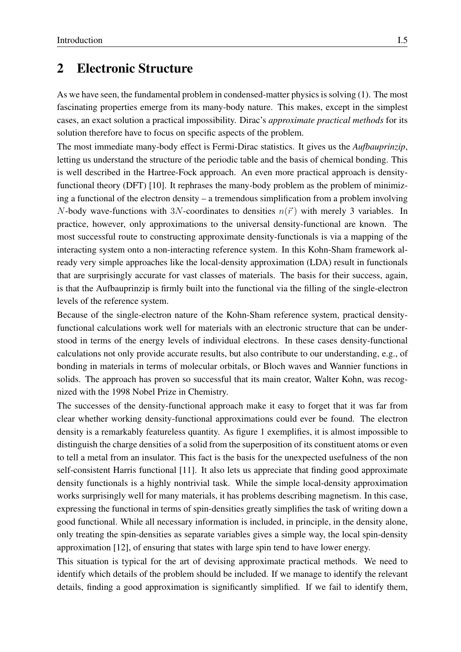#### <span id="page-4-0"></span>2 Electronic Structure

As we have seen, the fundamental problem in condensed-matter physics is solving [\(1\)](#page-1-1). The most fascinating properties emerge from its many-body nature. This makes, except in the simplest cases, an exact solution a practical impossibility. Dirac's *approximate practical methods* for its solution therefore have to focus on specific aspects of the problem.

The most immediate many-body effect is Fermi-Dirac statistics. It gives us the *Aufbauprinzip*, letting us understand the structure of the periodic table and the basis of chemical bonding. This is well described in the Hartree-Fock approach. An even more practical approach is densityfunctional theory (DFT) [\[10\]](#page-9-8). It rephrases the many-body problem as the problem of minimizing a functional of the electron density – a tremendous simplification from a problem involving N-body wave-functions with 3N-coordinates to densities  $n(\vec{r})$  with merely 3 variables. In practice, however, only approximations to the universal density-functional are known. The most successful route to constructing approximate density-functionals is via a mapping of the interacting system onto a non-interacting reference system. In this Kohn-Sham framework already very simple approaches like the local-density approximation (LDA) result in functionals that are surprisingly accurate for vast classes of materials. The basis for their success, again, is that the Aufbauprinzip is firmly built into the functional via the filling of the single-electron levels of the reference system.

Because of the single-electron nature of the Kohn-Sham reference system, practical densityfunctional calculations work well for materials with an electronic structure that can be understood in terms of the energy levels of individual electrons. In these cases density-functional calculations not only provide accurate results, but also contribute to our understanding, e.g., of bonding in materials in terms of molecular orbitals, or Bloch waves and Wannier functions in solids. The approach has proven so successful that its main creator, Walter Kohn, was recognized with the 1998 Nobel Prize in Chemistry.

The successes of the density-functional approach make it easy to forget that it was far from clear whether working density-functional approximations could ever be found. The electron density is a remarkably featureless quantity. As figure [1](#page-5-0) exemplifies, it is almost impossible to distinguish the charge densities of a solid from the superposition of its constituent atoms or even to tell a metal from an insulator. This fact is the basis for the unexpected usefulness of the non self-consistent Harris functional [\[11\]](#page-9-9). It also lets us appreciate that finding good approximate density functionals is a highly nontrivial task. While the simple local-density approximation works surprisingly well for many materials, it has problems describing magnetism. In this case, expressing the functional in terms of spin-densities greatly simplifies the task of writing down a good functional. While all necessary information is included, in principle, in the density alone, only treating the spin-densities as separate variables gives a simple way, the local spin-density approximation [\[12\]](#page-9-10), of ensuring that states with large spin tend to have lower energy.

This situation is typical for the art of devising approximate practical methods. We need to identify which details of the problem should be included. If we manage to identify the relevant details, finding a good approximation is significantly simplified. If we fail to identify them,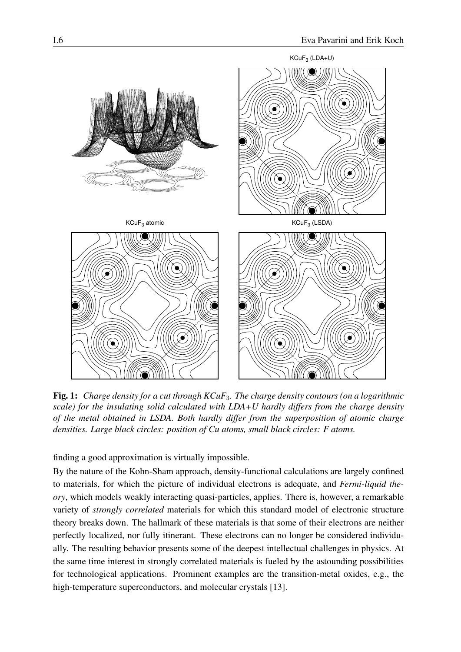

<span id="page-5-0"></span>Fig. 1: *Charge density for a cut through KCuF*3*. The charge density contours (on a logarithmic scale) for the insulating solid calculated with LDA+U hardly differs from the charge density of the metal obtained in LSDA. Both hardly differ from the superposition of atomic charge densities. Large black circles: position of Cu atoms, small black circles: F atoms.*

finding a good approximation is virtually impossible.

By the nature of the Kohn-Sham approach, density-functional calculations are largely confined to materials, for which the picture of individual electrons is adequate, and *Fermi-liquid theory*, which models weakly interacting quasi-particles, applies. There is, however, a remarkable variety of *strongly correlated* materials for which this standard model of electronic structure theory breaks down. The hallmark of these materials is that some of their electrons are neither perfectly localized, nor fully itinerant. These electrons can no longer be considered individually. The resulting behavior presents some of the deepest intellectual challenges in physics. At the same time interest in strongly correlated materials is fueled by the astounding possibilities for technological applications. Prominent examples are the transition-metal oxides, e.g., the high-temperature superconductors, and molecular crystals [\[13\]](#page-9-11).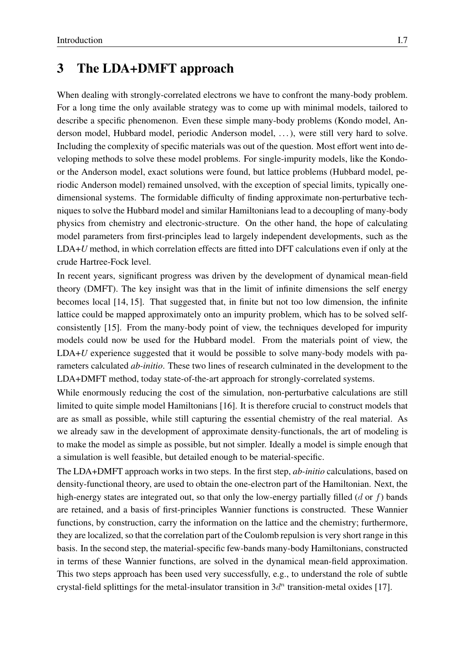## <span id="page-6-0"></span>3 The LDA+DMFT approach

When dealing with strongly-correlated electrons we have to confront the many-body problem. For a long time the only available strategy was to come up with minimal models, tailored to describe a specific phenomenon. Even these simple many-body problems (Kondo model, Anderson model, Hubbard model, periodic Anderson model, . . . ), were still very hard to solve. Including the complexity of specific materials was out of the question. Most effort went into developing methods to solve these model problems. For single-impurity models, like the Kondoor the Anderson model, exact solutions were found, but lattice problems (Hubbard model, periodic Anderson model) remained unsolved, with the exception of special limits, typically onedimensional systems. The formidable difficulty of finding approximate non-perturbative techniques to solve the Hubbard model and similar Hamiltonians lead to a decoupling of many-body physics from chemistry and electronic-structure. On the other hand, the hope of calculating model parameters from first-principles lead to largely independent developments, such as the LDA+*U* method, in which correlation effects are fitted into DFT calculations even if only at the crude Hartree-Fock level.

In recent years, significant progress was driven by the development of dynamical mean-field theory (DMFT). The key insight was that in the limit of infinite dimensions the self energy becomes local [\[14,](#page-9-12) [15\]](#page-9-13). That suggested that, in finite but not too low dimension, the infinite lattice could be mapped approximately onto an impurity problem, which has to be solved selfconsistently [\[15\]](#page-9-13). From the many-body point of view, the techniques developed for impurity models could now be used for the Hubbard model. From the materials point of view, the LDA+*U* experience suggested that it would be possible to solve many-body models with parameters calculated *ab-initio*. These two lines of research culminated in the development to the LDA+DMFT method, today state-of-the-art approach for strongly-correlated systems.

While enormously reducing the cost of the simulation, non-perturbative calculations are still limited to quite simple model Hamiltonians [\[16\]](#page-9-14). It is therefore crucial to construct models that are as small as possible, while still capturing the essential chemistry of the real material. As we already saw in the development of approximate density-functionals, the art of modeling is to make the model as simple as possible, but not simpler. Ideally a model is simple enough that a simulation is well feasible, but detailed enough to be material-specific.

The LDA+DMFT approach works in two steps. In the first step, *ab-initio* calculations, based on density-functional theory, are used to obtain the one-electron part of the Hamiltonian. Next, the high-energy states are integrated out, so that only the low-energy partially filled (d or f) bands are retained, and a basis of first-principles Wannier functions is constructed. These Wannier functions, by construction, carry the information on the lattice and the chemistry; furthermore, they are localized, so that the correlation part of the Coulomb repulsion is very short range in this basis. In the second step, the material-specific few-bands many-body Hamiltonians, constructed in terms of these Wannier functions, are solved in the dynamical mean-field approximation. This two steps approach has been used very successfully, e.g., to understand the role of subtle crystal-field splittings for the metal-insulator transition in  $3d<sup>n</sup>$  transition-metal oxides [\[17\]](#page-9-15).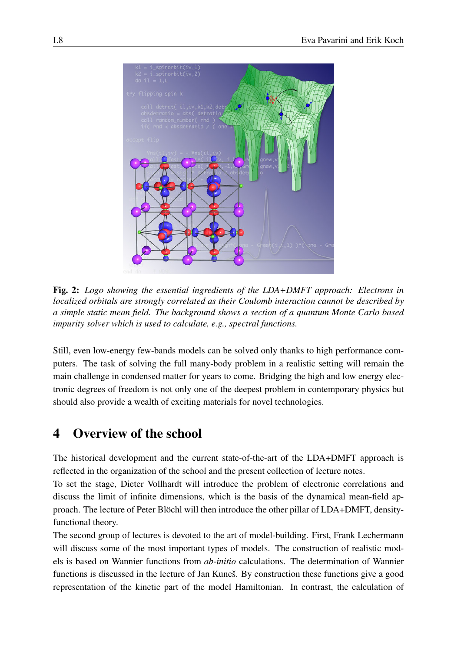

Fig. 2: *Logo showing the essential ingredients of the LDA+DMFT approach: Electrons in localized orbitals are strongly correlated as their Coulomb interaction cannot be described by a simple static mean field. The background shows a section of a quantum Monte Carlo based impurity solver which is used to calculate, e.g., spectral functions.*

Still, even low-energy few-bands models can be solved only thanks to high performance computers. The task of solving the full many-body problem in a realistic setting will remain the main challenge in condensed matter for years to come. Bridging the high and low energy electronic degrees of freedom is not only one of the deepest problem in contemporary physics but should also provide a wealth of exciting materials for novel technologies.

# <span id="page-7-0"></span>4 Overview of the school

The historical development and the current state-of-the-art of the LDA+DMFT approach is reflected in the organization of the school and the present collection of lecture notes.

To set the stage, Dieter Vollhardt will introduce the problem of electronic correlations and discuss the limit of infinite dimensions, which is the basis of the dynamical mean-field approach. The lecture of Peter Blöchl will then introduce the other pillar of LDA+DMFT, densityfunctional theory.

The second group of lectures is devoted to the art of model-building. First, Frank Lechermann will discuss some of the most important types of models. The construction of realistic models is based on Wannier functions from *ab-initio* calculations. The determination of Wannier functions is discussed in the lecture of Jan Kuneš. By construction these functions give a good representation of the kinetic part of the model Hamiltonian. In contrast, the calculation of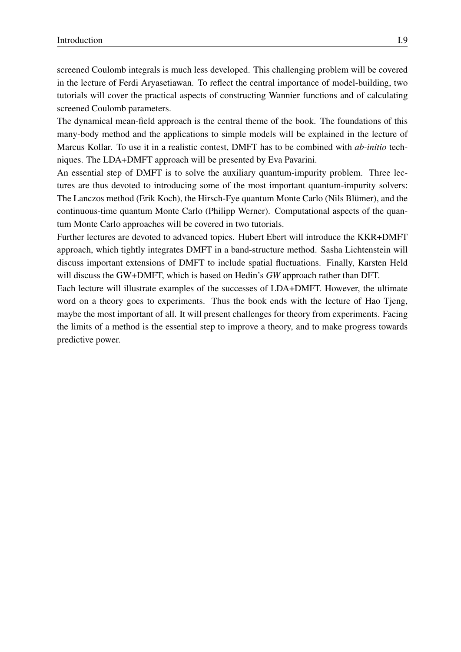screened Coulomb integrals is much less developed. This challenging problem will be covered in the lecture of Ferdi Aryasetiawan. To reflect the central importance of model-building, two tutorials will cover the practical aspects of constructing Wannier functions and of calculating screened Coulomb parameters.

The dynamical mean-field approach is the central theme of the book. The foundations of this many-body method and the applications to simple models will be explained in the lecture of Marcus Kollar. To use it in a realistic contest, DMFT has to be combined with *ab-initio* techniques. The LDA+DMFT approach will be presented by Eva Pavarini.

An essential step of DMFT is to solve the auxiliary quantum-impurity problem. Three lectures are thus devoted to introducing some of the most important quantum-impurity solvers: The Lanczos method (Erik Koch), the Hirsch-Fye quantum Monte Carlo (Nils Blümer), and the continuous-time quantum Monte Carlo (Philipp Werner). Computational aspects of the quantum Monte Carlo approaches will be covered in two tutorials.

Further lectures are devoted to advanced topics. Hubert Ebert will introduce the KKR+DMFT approach, which tightly integrates DMFT in a band-structure method. Sasha Lichtenstein will discuss important extensions of DMFT to include spatial fluctuations. Finally, Karsten Held will discuss the GW+DMFT, which is based on Hedin's *GW* approach rather than DFT.

Each lecture will illustrate examples of the successes of LDA+DMFT. However, the ultimate word on a theory goes to experiments. Thus the book ends with the lecture of Hao Tjeng, maybe the most important of all. It will present challenges for theory from experiments. Facing the limits of a method is the essential step to improve a theory, and to make progress towards predictive power.